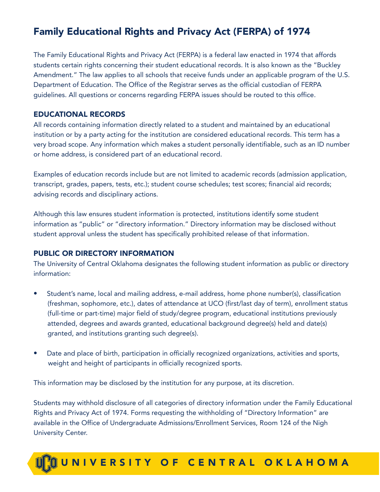# Family Educational Rights and Privacy Act (FERPA) of 1974

The Family Educational Rights and Privacy Act (FERPA) is a federal law enacted in 1974 that affords students certain rights concerning their student educational records. It is also known as the "Buckley Amendment." The law applies to all schools that receive funds under an applicable program of the U.S. Department of Education. The Office of the Registrar serves as the official custodian of FERPA guidelines. All questions or concerns regarding FERPA issues should be routed to this office.

#### EDUCATIONAL RECORDS

All records containing information directly related to a student and maintained by an educational institution or by a party acting for the institution are considered educational records. This term has a very broad scope. Any information which makes a student personally identifiable, such as an ID number or home address, is considered part of an educational record.

Examples of education records include but are not limited to academic records (admission application, transcript, grades, papers, tests, etc.); student course schedules; test scores; financial aid records; advising records and disciplinary actions.

Although this law ensures student information is protected, institutions identify some student information as "public" or "directory information." Directory information may be disclosed without student approval unless the student has specifically prohibited release of that information.

#### PUBLIC OR DIRECTORY INFORMATION

The University of Central Oklahoma designates the following student information as public or directory information:

- Student's name, local and mailing address, e-mail address, home phone number(s), classification (freshman, sophomore, etc.), dates of attendance at UCO (first/last day of term), enrollment status (full-time or part-time) major field of study/degree program, educational institutions previously attended, degrees and awards granted, educational background degree(s) held and date(s) granted, and institutions granting such degree(s).
- Date and place of birth, participation in officially recognized organizations, activities and sports, weight and height of participants in officially recognized sports.

This information may be disclosed by the institution for any purpose, at its discretion.

Students may withhold disclosure of all categories of directory information under the Family Educational Rights and Privacy Act of 1974. Forms requesting the withholding of "Directory Information" are available in the Office of Undergraduate Admissions/Enrollment Services, Room 124 of the Nigh University Center.

# **MUNIVERSITY OF CENTRAL OKLAHOMA**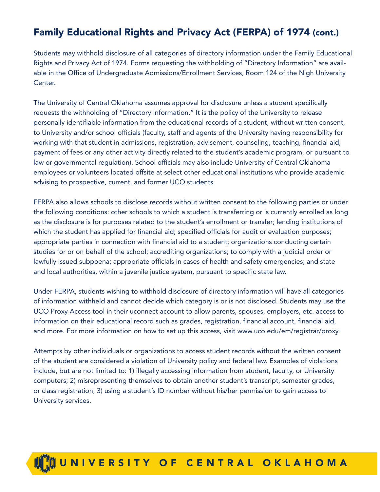# Family Educational Rights and Privacy Act (FERPA) of 1974 (cont.)

Students may withhold disclosure of all categories of directory information under the Family Educational Rights and Privacy Act of 1974. Forms requesting the withholding of "Directory Information" are available in the Office of Undergraduate Admissions/Enrollment Services, Room 124 of the Nigh University Center.

The University of Central Oklahoma assumes approval for disclosure unless a student specifically requests the withholding of "Directory Information." It is the policy of the University to release personally identifiable information from the educational records of a student, without written consent, to University and/or school officials (faculty, staff and agents of the University having responsibility for working with that student in admissions, registration, advisement, counseling, teaching, financial aid, payment of fees or any other activity directly related to the student's academic program, or pursuant to law or governmental regulation). School officials may also include University of Central Oklahoma employees or volunteers located offsite at select other educational institutions who provide academic advising to prospective, current, and former UCO students.

FERPA also allows schools to disclose records without written consent to the following parties or under the following conditions: other schools to which a student is transferring or is currently enrolled as long as the disclosure is for purposes related to the student's enrollment or transfer; lending institutions of which the student has applied for financial aid; specified officials for audit or evaluation purposes; appropriate parties in connection with financial aid to a student; organizations conducting certain studies for or on behalf of the school; accrediting organizations; to comply with a judicial order or lawfully issued subpoena; appropriate officials in cases of health and safety emergencies; and state and local authorities, within a juvenile justice system, pursuant to specific state law.

Under FERPA, students wishing to withhold disclosure of directory information will have all categories of information withheld and cannot decide which category is or is not disclosed. Students may use the UCO Proxy Access tool in their uconnect account to allow parents, spouses, employers, etc. access to information on their educational record such as grades, registration, financial account, financial aid, and more. For more information on how to set up this access, visit www.uco.edu/em/registrar/proxy.

Attempts by other individuals or organizations to access student records without the written consent of the student are considered a violation of University policy and federal law. Examples of violations include, but are not limited to: 1) illegally accessing information from student, faculty, or University computers; 2) misrepresenting themselves to obtain another student's transcript, semester grades, or class registration; 3) using a student's ID number without his/her permission to gain access to University services.

# **QUNIVERSITY OF CENTRAL OKLAHOMA**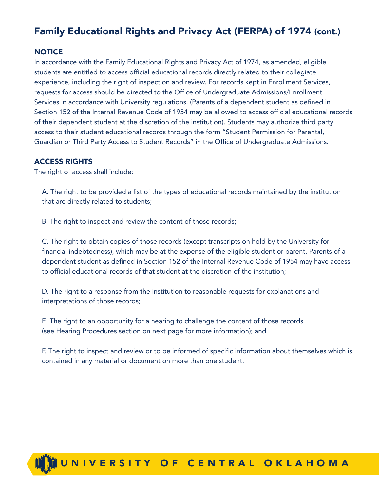### Family Educational Rights and Privacy Act (FERPA) of 1974 (cont.)

#### **NOTICE**

In accordance with the Family Educational Rights and Privacy Act of 1974, as amended, eligible students are entitled to access official educational records directly related to their collegiate experience, including the right of inspection and review. For records kept in Enrollment Services, requests for access should be directed to the Office of Undergraduate Admissions/Enrollment Services in accordance with University regulations. (Parents of a dependent student as defined in Section 152 of the Internal Revenue Code of 1954 may be allowed to access official educational records of their dependent student at the discretion of the institution). Students may authorize third party access to their student educational records through the form "Student Permission for Parental, Guardian or Third Party Access to Student Records" in the Office of Undergraduate Admissions.

#### ACCESS RIGHTS

The right of access shall include:

 A. The right to be provided a list of the types of educational records maintained by the institution that are directly related to students;

B. The right to inspect and review the content of those records;

 C. The right to obtain copies of those records (except transcripts on hold by the University for financial indebtedness), which may be at the expense of the eligible student or parent. Parents of a dependent student as defined in Section 152 of the Internal Revenue Code of 1954 may have access to official educational records of that student at the discretion of the institution;

 D. The right to a response from the institution to reasonable requests for explanations and interpretations of those records;

 E. The right to an opportunity for a hearing to challenge the content of those records (see Hearing Procedures section on next page for more information); and

 F. The right to inspect and review or to be informed of specific information about themselves which is contained in any material or document on more than one student.

# TM UNIVE R SIT Y O F CENTRAL OKLAHOM A